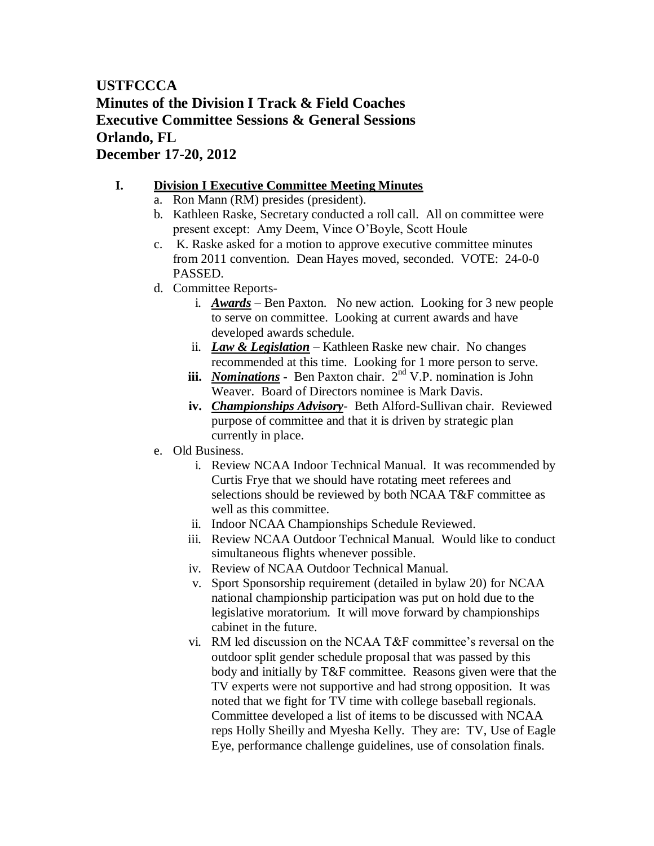# **USTFCCCA Minutes of the Division I Track & Field Coaches Executive Committee Sessions & General Sessions Orlando, FL December 17-20, 2012**

## **I. Division I Executive Committee Meeting Minutes**

- a. Ron Mann (RM) presides (president).
- b. Kathleen Raske, Secretary conducted a roll call. All on committee were present except: Amy Deem, Vince O'Boyle, Scott Houle
- c. K. Raske asked for a motion to approve executive committee minutes from 2011 convention. Dean Hayes moved, seconded. VOTE: 24-0-0 PASSED.
- d. Committee Reports
	- i. *Awards* Ben Paxton. No new action. Looking for 3 new people to serve on committee. Looking at current awards and have developed awards schedule.
	- ii. *Law & Legislation* Kathleen Raske new chair. No changes recommended at this time. Looking for 1 more person to serve.
	- **iii.** *Nominations* **-** Ben Paxton chair.  $2^{nd}$  V.P. nomination is John Weaver. Board of Directors nominee is Mark Davis.
	- **iv.** *Championships Advisory* Beth Alford-Sullivan chair. Reviewed purpose of committee and that it is driven by strategic plan currently in place.
- e. Old Business.
	- i. Review NCAA Indoor Technical Manual. It was recommended by Curtis Frye that we should have rotating meet referees and selections should be reviewed by both NCAA T&F committee as well as this committee.
	- ii. Indoor NCAA Championships Schedule Reviewed.
	- iii. Review NCAA Outdoor Technical Manual. Would like to conduct simultaneous flights whenever possible.
	- iv. Review of NCAA Outdoor Technical Manual.
	- v. Sport Sponsorship requirement (detailed in bylaw 20) for NCAA national championship participation was put on hold due to the legislative moratorium. It will move forward by championships cabinet in the future.
	- vi. RM led discussion on the NCAA T&F committee's reversal on the outdoor split gender schedule proposal that was passed by this body and initially by T&F committee. Reasons given were that the TV experts were not supportive and had strong opposition. It was noted that we fight for TV time with college baseball regionals. Committee developed a list of items to be discussed with NCAA reps Holly Sheilly and Myesha Kelly. They are: TV, Use of Eagle Eye, performance challenge guidelines, use of consolation finals.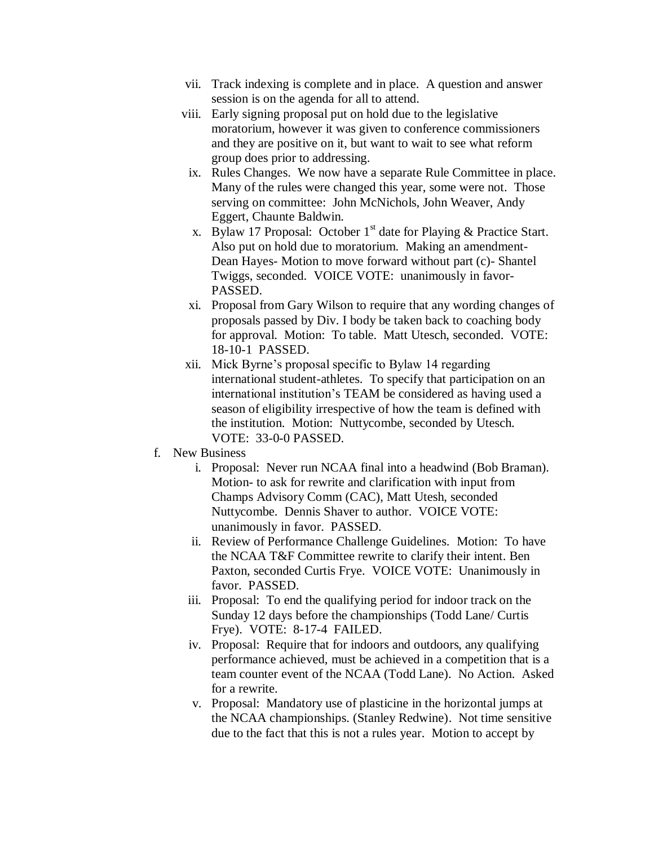- vii. Track indexing is complete and in place. A question and answer session is on the agenda for all to attend.
- viii. Early signing proposal put on hold due to the legislative moratorium, however it was given to conference commissioners and they are positive on it, but want to wait to see what reform group does prior to addressing.
- ix. Rules Changes. We now have a separate Rule Committee in place. Many of the rules were changed this year, some were not. Those serving on committee: John McNichols, John Weaver, Andy Eggert, Chaunte Baldwin.
- x. Bylaw 17 Proposal: October  $1<sup>st</sup>$  date for Playing & Practice Start. Also put on hold due to moratorium. Making an amendment-Dean Hayes- Motion to move forward without part (c)- Shantel Twiggs, seconded. VOICE VOTE: unanimously in favor-PASSED.
- xi. Proposal from Gary Wilson to require that any wording changes of proposals passed by Div. I body be taken back to coaching body for approval. Motion: To table. Matt Utesch, seconded. VOTE: 18-10-1 PASSED.
- xii. Mick Byrne's proposal specific to Bylaw 14 regarding international student-athletes. To specify that participation on an international institution's TEAM be considered as having used a season of eligibility irrespective of how the team is defined with the institution. Motion: Nuttycombe, seconded by Utesch. VOTE: 33-0-0 PASSED.
- f. New Business
	- i. Proposal: Never run NCAA final into a headwind (Bob Braman). Motion- to ask for rewrite and clarification with input from Champs Advisory Comm (CAC), Matt Utesh, seconded Nuttycombe. Dennis Shaver to author. VOICE VOTE: unanimously in favor. PASSED.
	- ii. Review of Performance Challenge Guidelines. Motion: To have the NCAA T&F Committee rewrite to clarify their intent. Ben Paxton, seconded Curtis Frye. VOICE VOTE: Unanimously in favor. PASSED.
	- iii. Proposal: To end the qualifying period for indoor track on the Sunday 12 days before the championships (Todd Lane/ Curtis Frye). VOTE: 8-17-4 FAILED.
	- iv. Proposal: Require that for indoors and outdoors, any qualifying performance achieved, must be achieved in a competition that is a team counter event of the NCAA (Todd Lane). No Action. Asked for a rewrite.
	- v. Proposal: Mandatory use of plasticine in the horizontal jumps at the NCAA championships. (Stanley Redwine). Not time sensitive due to the fact that this is not a rules year. Motion to accept by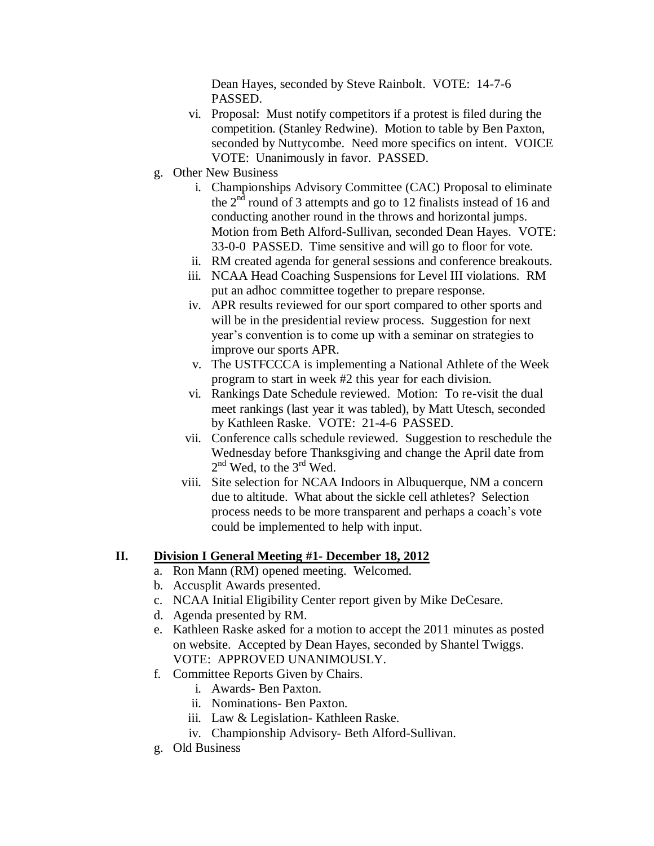Dean Hayes, seconded by Steve Rainbolt. VOTE: 14-7-6 PASSED.

- vi. Proposal: Must notify competitors if a protest is filed during the competition. (Stanley Redwine). Motion to table by Ben Paxton, seconded by Nuttycombe. Need more specifics on intent. VOICE VOTE: Unanimously in favor. PASSED.
- g. Other New Business
	- i. Championships Advisory Committee (CAC) Proposal to eliminate the  $2<sup>nd</sup>$  round of 3 attempts and go to 12 finalists instead of 16 and conducting another round in the throws and horizontal jumps. Motion from Beth Alford-Sullivan, seconded Dean Hayes. VOTE: 33-0-0 PASSED. Time sensitive and will go to floor for vote.
	- ii. RM created agenda for general sessions and conference breakouts.
	- iii. NCAA Head Coaching Suspensions for Level III violations. RM put an adhoc committee together to prepare response.
	- iv. APR results reviewed for our sport compared to other sports and will be in the presidential review process. Suggestion for next year's convention is to come up with a seminar on strategies to improve our sports APR.
	- v. The USTFCCCA is implementing a National Athlete of the Week program to start in week #2 this year for each division.
	- vi. Rankings Date Schedule reviewed. Motion: To re-visit the dual meet rankings (last year it was tabled), by Matt Utesch, seconded by Kathleen Raske. VOTE: 21-4-6 PASSED.
	- vii. Conference calls schedule reviewed. Suggestion to reschedule the Wednesday before Thanksgiving and change the April date from  $2^{nd}$  Wed, to the  $3^{rd}$  Wed.
	- viii. Site selection for NCAA Indoors in Albuquerque, NM a concern due to altitude. What about the sickle cell athletes? Selection process needs to be more transparent and perhaps a coach's vote could be implemented to help with input.

## **II. Division I General Meeting #1- December 18, 2012**

- a. Ron Mann (RM) opened meeting. Welcomed.
- b. Accusplit Awards presented.
- c. NCAA Initial Eligibility Center report given by Mike DeCesare.
- d. Agenda presented by RM.
- e. Kathleen Raske asked for a motion to accept the 2011 minutes as posted on website. Accepted by Dean Hayes, seconded by Shantel Twiggs. VOTE: APPROVED UNANIMOUSLY.
- f. Committee Reports Given by Chairs.
	- i. Awards- Ben Paxton.
	- ii. Nominations- Ben Paxton.
	- iii. Law & Legislation- Kathleen Raske.
	- iv. Championship Advisory- Beth Alford-Sullivan.
- g. Old Business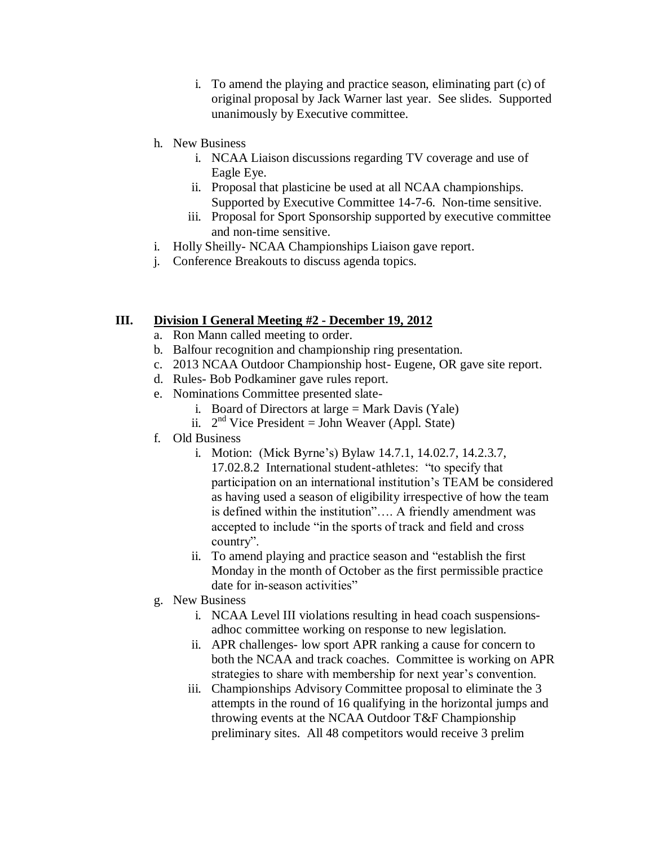- i. To amend the playing and practice season, eliminating part (c) of original proposal by Jack Warner last year. See slides. Supported unanimously by Executive committee.
- h. New Business
	- i. NCAA Liaison discussions regarding TV coverage and use of Eagle Eye.
	- ii. Proposal that plasticine be used at all NCAA championships. Supported by Executive Committee 14-7-6. Non-time sensitive.
	- iii. Proposal for Sport Sponsorship supported by executive committee and non-time sensitive.
- i. Holly Sheilly- NCAA Championships Liaison gave report.
- j. Conference Breakouts to discuss agenda topics.

#### **III. Division I General Meeting #2 - December 19, 2012**

- a. Ron Mann called meeting to order.
- b. Balfour recognition and championship ring presentation.
- c. 2013 NCAA Outdoor Championship host- Eugene, OR gave site report.
- d. Rules- Bob Podkaminer gave rules report.
- e. Nominations Committee presented slate
	- i. Board of Directors at large  $=$  Mark Davis (Yale)
	- ii.  $2<sup>nd</sup>$  Vice President = John Weaver (Appl. State)
- f. Old Business
	- i. Motion: (Mick Byrne's) Bylaw 14.7.1, 14.02.7, 14.2.3.7, 17.02.8.2 International student-athletes: "to specify that participation on an international institution's TEAM be considered as having used a season of eligibility irrespective of how the team is defined within the institution"…. A friendly amendment was accepted to include "in the sports of track and field and cross country".
	- ii. To amend playing and practice season and "establish the first Monday in the month of October as the first permissible practice date for in-season activities"
- g. New Business
	- i. NCAA Level III violations resulting in head coach suspensionsadhoc committee working on response to new legislation.
	- ii. APR challenges- low sport APR ranking a cause for concern to both the NCAA and track coaches. Committee is working on APR strategies to share with membership for next year's convention.
	- iii. Championships Advisory Committee proposal to eliminate the 3 attempts in the round of 16 qualifying in the horizontal jumps and throwing events at the NCAA Outdoor T&F Championship preliminary sites. All 48 competitors would receive 3 prelim